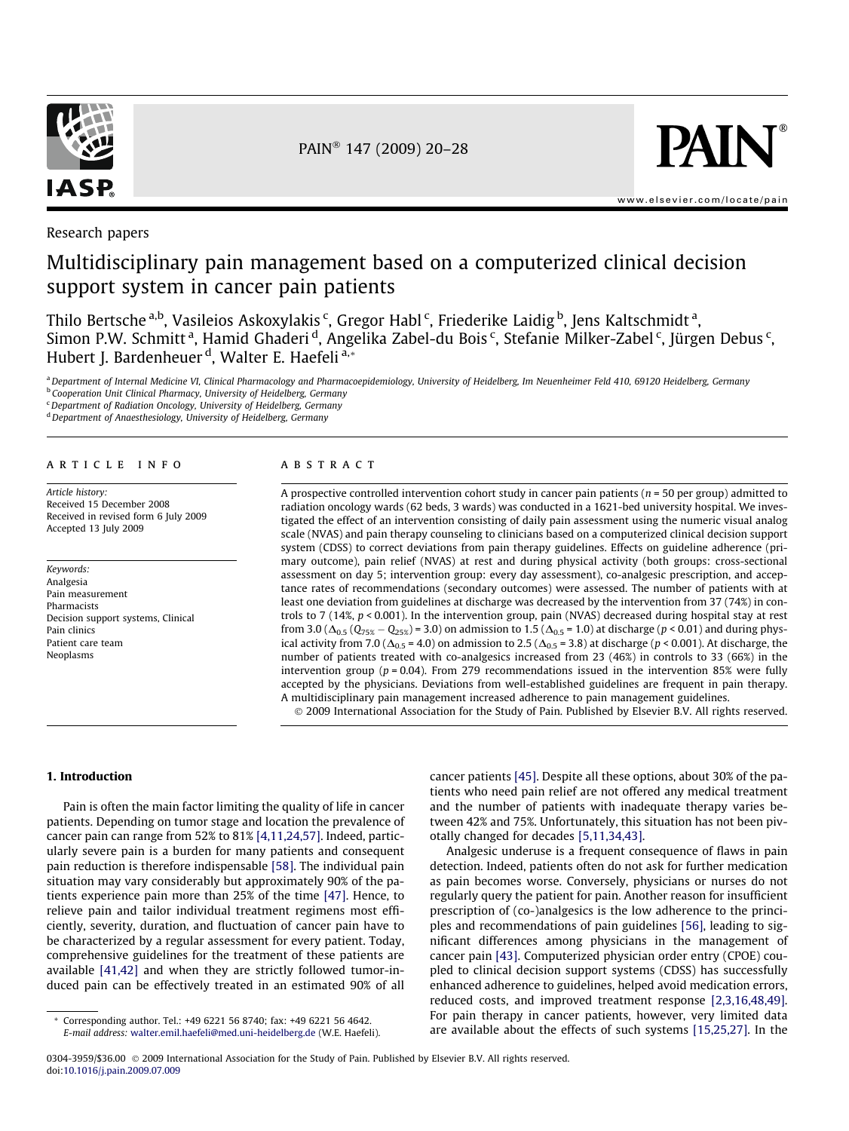

 $PAIN^{\circledR}$  147 (2009) 20-28



[www.elsevier.com/locate/pain](http://www.elsevier.com/locate/pain)

Research papers

# Multidisciplinary pain management based on a computerized clinical decision support system in cancer pain patients

Thilo Bertsche <sup>a,b</sup>, Vasileios Askoxylakis <sup>c</sup>, Gregor Habl <sup>c</sup>, Friederike Laidig <sup>b</sup>, Jens Kaltschmidt <sup>a</sup>, Simon P.W. Schmitt <sup>a</sup>, Hamid Ghaderi <sup>d</sup>, Angelika Zabel-du Bois <sup>c</sup>, Stefanie Milker-Zabel <sup>c</sup>, Jürgen Debus <sup>c</sup>, Hubert J. Bardenheuer <sup>d</sup>, Walter E. Haefeli <sup>a,</sup>\*

a Department of Internal Medicine VI, Clinical Pharmacology and Pharmacoepidemiology, University of Heidelberg, Im Neuenheimer Feld 410, 69120 Heidelberg, Germany

**b** Cooperation Unit Clinical Pharmacy, University of Heidelberg, Germany

<sup>c</sup>Department of Radiation Oncology, University of Heidelberg, Germany

d Department of Anaesthesiology, University of Heidelberg, Germany

#### article info

Article history: Received 15 December 2008 Received in revised form 6 July 2009 Accepted 13 July 2009

Keywords: Analgesia Pain measurement Pharmacists Decision support systems, Clinical Pain clinics Patient care team Neoplasms

## **ABSTRACT**

A prospective controlled intervention cohort study in cancer pain patients ( $n = 50$  per group) admitted to radiation oncology wards (62 beds, 3 wards) was conducted in a 1621-bed university hospital. We investigated the effect of an intervention consisting of daily pain assessment using the numeric visual analog scale (NVAS) and pain therapy counseling to clinicians based on a computerized clinical decision support system (CDSS) to correct deviations from pain therapy guidelines. Effects on guideline adherence (primary outcome), pain relief (NVAS) at rest and during physical activity (both groups: cross-sectional assessment on day 5; intervention group: every day assessment), co-analgesic prescription, and acceptance rates of recommendations (secondary outcomes) were assessed. The number of patients with at least one deviation from guidelines at discharge was decreased by the intervention from 37 (74%) in controls to 7 (14%,  $p < 0.001$ ). In the intervention group, pain (NVAS) decreased during hospital stay at rest from 3.0 ( $\Delta_{0.5}$  ( $Q_{75\%}$  –  $Q_{25\%}$ ) = 3.0) on admission to 1.5 ( $\Delta_{0.5}$  = 1.0) at discharge (p < 0.01) and during physical activity from 7.0 ( $\Delta_{0.5}$  = 4.0) on admission to 2.5 ( $\Delta_{0.5}$  = 3.8) at discharge (p < 0.001). At discharge, the number of patients treated with co-analgesics increased from 23 (46%) in controls to 33 (66%) in the intervention group ( $p = 0.04$ ). From 279 recommendations issued in the intervention 85% were fully accepted by the physicians. Deviations from well-established guidelines are frequent in pain therapy. A multidisciplinary pain management increased adherence to pain management guidelines.

- 2009 International Association for the Study of Pain. Published by Elsevier B.V. All rights reserved.

1. Introduction

Pain is often the main factor limiting the quality of life in cancer patients. Depending on tumor stage and location the prevalence of cancer pain can range from 52% to 81% [\[4,11,24,57\].](#page--1-0) Indeed, particularly severe pain is a burden for many patients and consequent pain reduction is therefore indispensable [\[58\]](#page--1-0). The individual pain situation may vary considerably but approximately 90% of the patients experience pain more than 25% of the time [\[47\].](#page--1-0) Hence, to relieve pain and tailor individual treatment regimens most efficiently, severity, duration, and fluctuation of cancer pain have to be characterized by a regular assessment for every patient. Today, comprehensive guidelines for the treatment of these patients are available [\[41,42\]](#page--1-0) and when they are strictly followed tumor-induced pain can be effectively treated in an estimated 90% of all cancer patients [\[45\]](#page--1-0). Despite all these options, about 30% of the patients who need pain relief are not offered any medical treatment and the number of patients with inadequate therapy varies between 42% and 75%. Unfortunately, this situation has not been pivotally changed for decades [\[5,11,34,43\].](#page--1-0)

Analgesic underuse is a frequent consequence of flaws in pain detection. Indeed, patients often do not ask for further medication as pain becomes worse. Conversely, physicians or nurses do not regularly query the patient for pain. Another reason for insufficient prescription of (co-)analgesics is the low adherence to the principles and recommendations of pain guidelines [\[56\],](#page--1-0) leading to significant differences among physicians in the management of cancer pain [\[43\]](#page--1-0). Computerized physician order entry (CPOE) coupled to clinical decision support systems (CDSS) has successfully enhanced adherence to guidelines, helped avoid medication errors, reduced costs, and improved treatment response [\[2,3,16,48,49\].](#page--1-0) For pain therapy in cancer patients, however, very limited data are available about the effects of such systems [\[15,25,27\].](#page--1-0) In the

<sup>\*</sup> Corresponding author. Tel.: +49 6221 56 8740; fax: +49 6221 56 4642. E-mail address: [walter.emil.haefeli@med.uni-heidelberg.de](mailto:walter.emil.haefeli@med.uni-heidelberg.de) (W.E. Haefeli).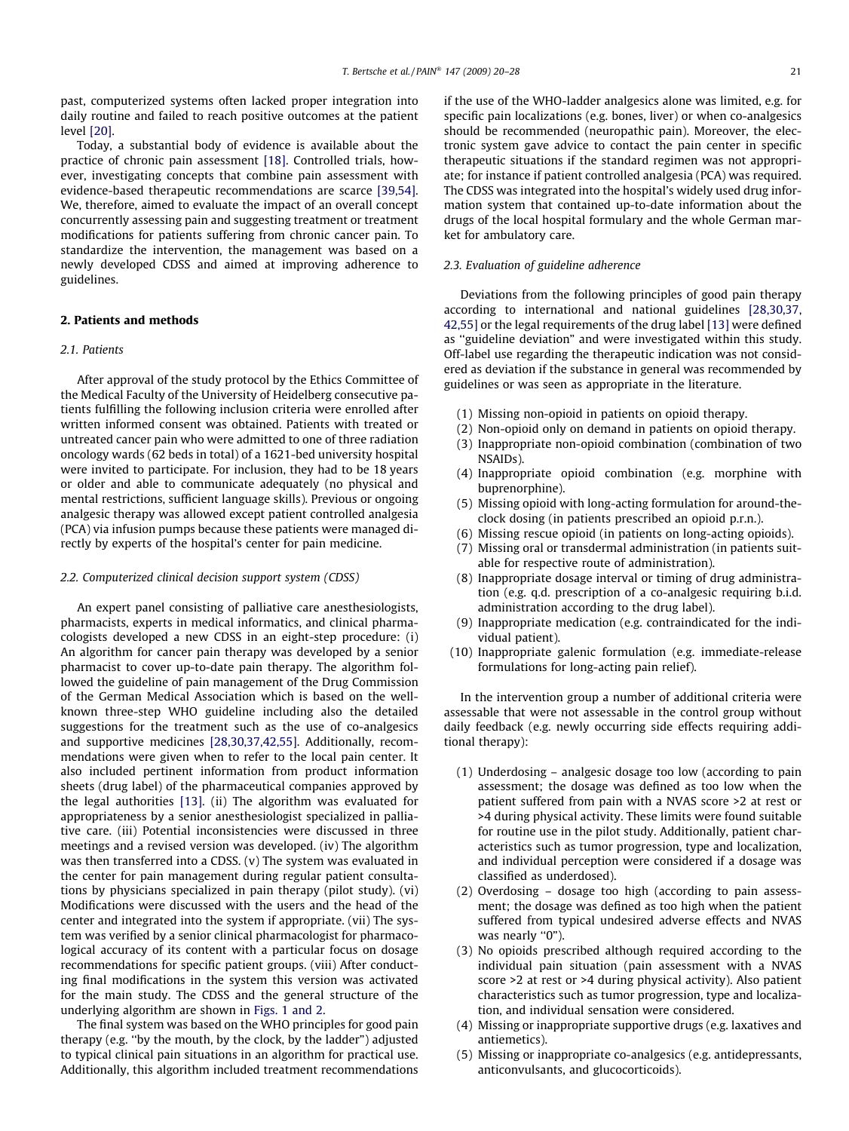past, computerized systems often lacked proper integration into daily routine and failed to reach positive outcomes at the patient level [\[20\]](#page--1-0).

Today, a substantial body of evidence is available about the practice of chronic pain assessment [\[18\].](#page--1-0) Controlled trials, however, investigating concepts that combine pain assessment with evidence-based therapeutic recommendations are scarce [\[39,54\].](#page--1-0) We, therefore, aimed to evaluate the impact of an overall concept concurrently assessing pain and suggesting treatment or treatment modifications for patients suffering from chronic cancer pain. To standardize the intervention, the management was based on a newly developed CDSS and aimed at improving adherence to guidelines.

## 2. Patients and methods

## 2.1. Patients

After approval of the study protocol by the Ethics Committee of the Medical Faculty of the University of Heidelberg consecutive patients fulfilling the following inclusion criteria were enrolled after written informed consent was obtained. Patients with treated or untreated cancer pain who were admitted to one of three radiation oncology wards (62 beds in total) of a 1621-bed university hospital were invited to participate. For inclusion, they had to be 18 years or older and able to communicate adequately (no physical and mental restrictions, sufficient language skills). Previous or ongoing analgesic therapy was allowed except patient controlled analgesia (PCA) via infusion pumps because these patients were managed directly by experts of the hospital's center for pain medicine.

#### 2.2. Computerized clinical decision support system (CDSS)

An expert panel consisting of palliative care anesthesiologists, pharmacists, experts in medical informatics, and clinical pharmacologists developed a new CDSS in an eight-step procedure: (i) An algorithm for cancer pain therapy was developed by a senior pharmacist to cover up-to-date pain therapy. The algorithm followed the guideline of pain management of the Drug Commission of the German Medical Association which is based on the wellknown three-step WHO guideline including also the detailed suggestions for the treatment such as the use of co-analgesics and supportive medicines [\[28,30,37,42,55\]](#page--1-0). Additionally, recommendations were given when to refer to the local pain center. It also included pertinent information from product information sheets (drug label) of the pharmaceutical companies approved by the legal authorities [\[13\].](#page--1-0) (ii) The algorithm was evaluated for appropriateness by a senior anesthesiologist specialized in palliative care. (iii) Potential inconsistencies were discussed in three meetings and a revised version was developed. (iv) The algorithm was then transferred into a CDSS. (v) The system was evaluated in the center for pain management during regular patient consultations by physicians specialized in pain therapy (pilot study). (vi) Modifications were discussed with the users and the head of the center and integrated into the system if appropriate. (vii) The system was verified by a senior clinical pharmacologist for pharmacological accuracy of its content with a particular focus on dosage recommendations for specific patient groups. (viii) After conducting final modifications in the system this version was activated for the main study. The CDSS and the general structure of the underlying algorithm are shown in [Figs. 1 and 2.](#page--1-0)

The final system was based on the WHO principles for good pain therapy (e.g. ''by the mouth, by the clock, by the ladder") adjusted to typical clinical pain situations in an algorithm for practical use. Additionally, this algorithm included treatment recommendations

if the use of the WHO-ladder analgesics alone was limited, e.g. for specific pain localizations (e.g. bones, liver) or when co-analgesics should be recommended (neuropathic pain). Moreover, the electronic system gave advice to contact the pain center in specific therapeutic situations if the standard regimen was not appropriate; for instance if patient controlled analgesia (PCA) was required. The CDSS was integrated into the hospital's widely used drug information system that contained up-to-date information about the drugs of the local hospital formulary and the whole German market for ambulatory care.

#### 2.3. Evaluation of guideline adherence

Deviations from the following principles of good pain therapy according to international and national guidelines [\[28,30,37,](#page--1-0) [42,55\]](#page--1-0) or the legal requirements of the drug label [\[13\]](#page--1-0) were defined as ''guideline deviation" and were investigated within this study. Off-label use regarding the therapeutic indication was not considered as deviation if the substance in general was recommended by guidelines or was seen as appropriate in the literature.

- (1) Missing non-opioid in patients on opioid therapy.
- (2) Non-opioid only on demand in patients on opioid therapy.
- (3) Inappropriate non-opioid combination (combination of two NSAIDs).
- (4) Inappropriate opioid combination (e.g. morphine with buprenorphine).
- (5) Missing opioid with long-acting formulation for around-theclock dosing (in patients prescribed an opioid p.r.n.).
- (6) Missing rescue opioid (in patients on long-acting opioids).
- (7) Missing oral or transdermal administration (in patients suitable for respective route of administration).
- (8) Inappropriate dosage interval or timing of drug administration (e.g. q.d. prescription of a co-analgesic requiring b.i.d. administration according to the drug label).
- (9) Inappropriate medication (e.g. contraindicated for the individual patient).
- (10) Inappropriate galenic formulation (e.g. immediate-release formulations for long-acting pain relief).

In the intervention group a number of additional criteria were assessable that were not assessable in the control group without daily feedback (e.g. newly occurring side effects requiring additional therapy):

- (1) Underdosing analgesic dosage too low (according to pain assessment; the dosage was defined as too low when the patient suffered from pain with a NVAS score >2 at rest or >4 during physical activity. These limits were found suitable for routine use in the pilot study. Additionally, patient characteristics such as tumor progression, type and localization, and individual perception were considered if a dosage was classified as underdosed).
- (2) Overdosing dosage too high (according to pain assessment; the dosage was defined as too high when the patient suffered from typical undesired adverse effects and NVAS was nearly "0").
- (3) No opioids prescribed although required according to the individual pain situation (pain assessment with a NVAS score >2 at rest or >4 during physical activity). Also patient characteristics such as tumor progression, type and localization, and individual sensation were considered.
- (4) Missing or inappropriate supportive drugs (e.g. laxatives and antiemetics).
- (5) Missing or inappropriate co-analgesics (e.g. antidepressants, anticonvulsants, and glucocorticoids).